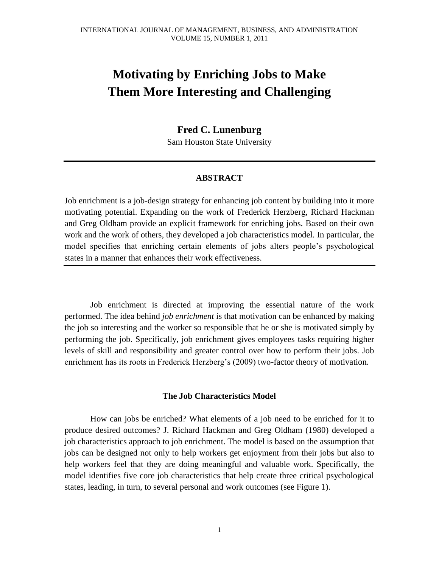# **Motivating by Enriching Jobs to Make Them More Interesting and Challenging**

# **Fred C. Lunenburg**

Sam Houston State University

# **ABSTRACT**

Job enrichment is a job-design strategy for enhancing job content by building into it more motivating potential. Expanding on the work of Frederick Herzberg, Richard Hackman and Greg Oldham provide an explicit framework for enriching jobs. Based on their own work and the work of others, they developed a job characteristics model. In particular, the model specifies that enriching certain elements of jobs alters people's psychological states in a manner that enhances their work effectiveness.

Job enrichment is directed at improving the essential nature of the work performed. The idea behind *job enrichment* is that motivation can be enhanced by making the job so interesting and the worker so responsible that he or she is motivated simply by performing the job. Specifically, job enrichment gives employees tasks requiring higher levels of skill and responsibility and greater control over how to perform their jobs. Job enrichment has its roots in Frederick Herzberg's (2009) two-factor theory of motivation.

#### **The Job Characteristics Model**

How can jobs be enriched? What elements of a job need to be enriched for it to produce desired outcomes? J. Richard Hackman and Greg Oldham (1980) developed a job characteristics approach to job enrichment. The model is based on the assumption that jobs can be designed not only to help workers get enjoyment from their jobs but also to help workers feel that they are doing meaningful and valuable work. Specifically, the model identifies five core job characteristics that help create three critical psychological states, leading, in turn, to several personal and work outcomes (see Figure 1).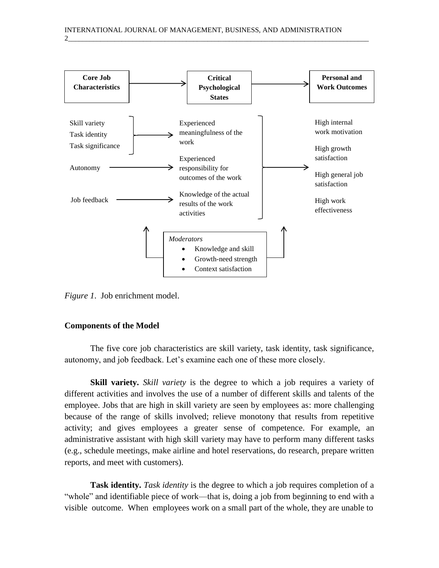

*Figure 1*. Job enrichment model.

#### **Components of the Model**

The five core job characteristics are skill variety, task identity, task significance, autonomy, and job feedback. Let's examine each one of these more closely.

**Skill variety.** *Skill variety* is the degree to which a job requires a variety of different activities and involves the use of a number of different skills and talents of the employee. Jobs that are high in skill variety are seen by employees as: more challenging because of the range of skills involved; relieve monotony that results from repetitive activity; and gives employees a greater sense of competence. For example, an administrative assistant with high skill variety may have to perform many different tasks (e.g., schedule meetings, make airline and hotel reservations, do research, prepare written reports, and meet with customers).

**Task identity.** *Task identity* is the degree to which a job requires completion of a "whole" and identifiable piece of work—that is, doing a job from beginning to end with a visible outcome. When employees work on a small part of the whole, they are unable to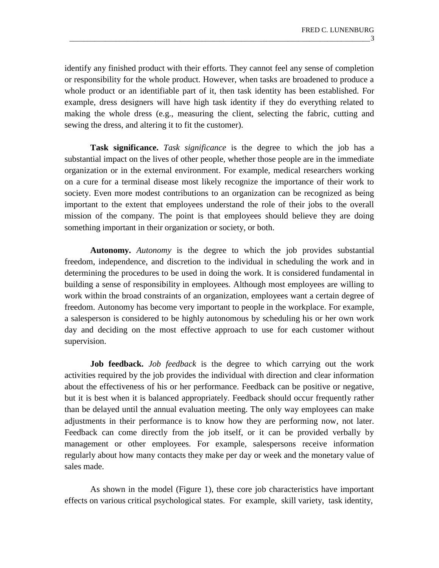identify any finished product with their efforts. They cannot feel any sense of completion or responsibility for the whole product. However, when tasks are broadened to produce a whole product or an identifiable part of it, then task identity has been established. For example, dress designers will have high task identity if they do everything related to making the whole dress (e.g., measuring the client, selecting the fabric, cutting and sewing the dress, and altering it to fit the customer).

**Task significance.** *Task significance* is the degree to which the job has a substantial impact on the lives of other people, whether those people are in the immediate organization or in the external environment. For example, medical researchers working on a cure for a terminal disease most likely recognize the importance of their work to society. Even more modest contributions to an organization can be recognized as being important to the extent that employees understand the role of their jobs to the overall mission of the company. The point is that employees should believe they are doing something important in their organization or society, or both.

**Autonomy.** *Autonomy* is the degree to which the job provides substantial freedom, independence, and discretion to the individual in scheduling the work and in determining the procedures to be used in doing the work. It is considered fundamental in building a sense of responsibility in employees. Although most employees are willing to work within the broad constraints of an organization, employees want a certain degree of freedom. Autonomy has become very important to people in the workplace. For example, a salesperson is considered to be highly autonomous by scheduling his or her own work day and deciding on the most effective approach to use for each customer without supervision.

**Job feedback.** *Job feedback* is the degree to which carrying out the work activities required by the job provides the individual with direction and clear information about the effectiveness of his or her performance. Feedback can be positive or negative, but it is best when it is balanced appropriately. Feedback should occur frequently rather than be delayed until the annual evaluation meeting. The only way employees can make adjustments in their performance is to know how they are performing now, not later. Feedback can come directly from the job itself, or it can be provided verbally by management or other employees. For example, salespersons receive information regularly about how many contacts they make per day or week and the monetary value of sales made.

As shown in the model (Figure 1), these core job characteristics have important effects on various critical psychological states. For example, skill variety, task identity,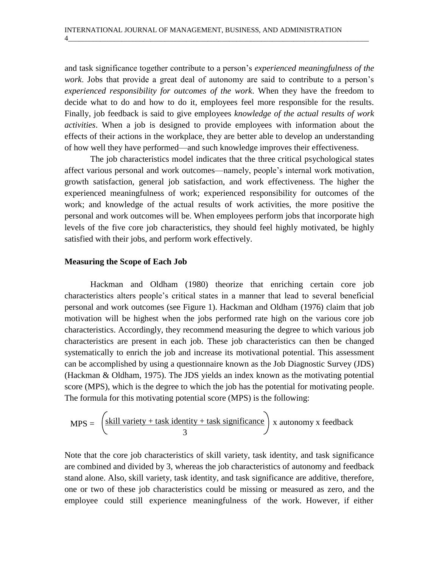and task significance together contribute to a person's *experienced meaningfulness of the work*. Jobs that provide a great deal of autonomy are said to contribute to a person's *experienced responsibility for outcomes of the work*. When they have the freedom to decide what to do and how to do it, employees feel more responsible for the results. Finally, job feedback is said to give employees *knowledge of the actual results of work activities*. When a job is designed to provide employees with information about the effects of their actions in the workplace, they are better able to develop an understanding of how well they have performed—and such knowledge improves their effectiveness.

The job characteristics model indicates that the three critical psychological states affect various personal and work outcomes—namely, people's internal work motivation, growth satisfaction, general job satisfaction, and work effectiveness. The higher the experienced meaningfulness of work; experienced responsibility for outcomes of the work; and knowledge of the actual results of work activities, the more positive the personal and work outcomes will be. When employees perform jobs that incorporate high levels of the five core job characteristics, they should feel highly motivated, be highly satisfied with their jobs, and perform work effectively.

# **Measuring the Scope of Each Job**

Hackman and Oldham (1980) theorize that enriching certain core job characteristics alters people's critical states in a manner that lead to several beneficial personal and work outcomes (see Figure 1). Hackman and Oldham (1976) claim that job motivation will be highest when the jobs performed rate high on the various core job characteristics. Accordingly, they recommend measuring the degree to which various job characteristics are present in each job. These job characteristics can then be changed systematically to enrich the job and increase its motivational potential. This assessment can be accomplished by using a questionnaire known as the Job Diagnostic Survey (JDS) (Hackman & Oldham, 1975). The JDS yields an index known as the motivating potential score (MPS), which is the degree to which the job has the potential for motivating people. The formula for this motivating potential score (MPS) is the following:

$$
MPS = \left(\frac{\text{skill variety} + \text{task identity} + \text{task significance}}{3}\right) \times \text{autonomy} \times \text{feedback}
$$

Note that the core job characteristics of skill variety, task identity, and task significance are combined and divided by 3, whereas the job characteristics of autonomy and feedback stand alone. Also, skill variety, task identity, and task significance are additive, therefore, one or two of these job characteristics could be missing or measured as zero, and the employee could still experience meaningfulness of the work. However, if either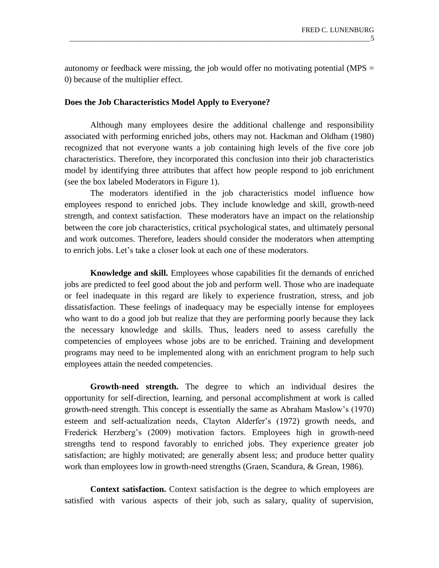autonomy or feedback were missing, the job would offer no motivating potential (MPS  $=$ 0) because of the multiplier effect.

## **Does the Job Characteristics Model Apply to Everyone?**

Although many employees desire the additional challenge and responsibility associated with performing enriched jobs, others may not. Hackman and Oldham (1980) recognized that not everyone wants a job containing high levels of the five core job characteristics. Therefore, they incorporated this conclusion into their job characteristics model by identifying three attributes that affect how people respond to job enrichment (see the box labeled Moderators in Figure 1).

The moderators identified in the job characteristics model influence how employees respond to enriched jobs. They include knowledge and skill, growth-need strength, and context satisfaction. These moderators have an impact on the relationship between the core job characteristics, critical psychological states, and ultimately personal and work outcomes. Therefore, leaders should consider the moderators when attempting to enrich jobs. Let's take a closer look at each one of these moderators.

**Knowledge and skill.** Employees whose capabilities fit the demands of enriched jobs are predicted to feel good about the job and perform well. Those who are inadequate or feel inadequate in this regard are likely to experience frustration, stress, and job dissatisfaction. These feelings of inadequacy may be especially intense for employees who want to do a good job but realize that they are performing poorly because they lack the necessary knowledge and skills. Thus, leaders need to assess carefully the competencies of employees whose jobs are to be enriched. Training and development programs may need to be implemented along with an enrichment program to help such employees attain the needed competencies.

**Growth-need strength.** The degree to which an individual desires the opportunity for self-direction, learning, and personal accomplishment at work is called growth-need strength. This concept is essentially the same as Abraham Maslow's (1970) esteem and self-actualization needs, Clayton Alderfer's (1972) growth needs, and Frederick Herzberg's (2009) motivation factors. Employees high in growth-need strengths tend to respond favorably to enriched jobs. They experience greater job satisfaction; are highly motivated; are generally absent less; and produce better quality work than employees low in growth-need strengths (Graen, Scandura, & Grean, 1986).

**Context satisfaction.** Context satisfaction is the degree to which employees are satisfied with various aspects of their job, such as salary, quality of supervision,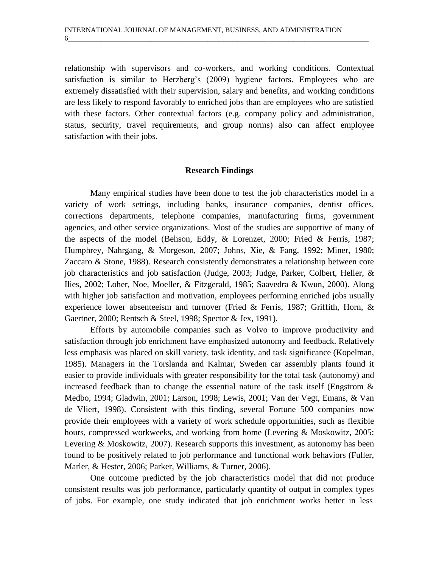relationship with supervisors and co-workers, and working conditions. Contextual satisfaction is similar to Herzberg's (2009) hygiene factors. Employees who are extremely dissatisfied with their supervision, salary and benefits, and working conditions are less likely to respond favorably to enriched jobs than are employees who are satisfied with these factors. Other contextual factors (e.g. company policy and administration, status, security, travel requirements, and group norms) also can affect employee satisfaction with their jobs.

## **Research Findings**

Many empirical studies have been done to test the job characteristics model in a variety of work settings, including banks, insurance companies, dentist offices, corrections departments, telephone companies, manufacturing firms, government agencies, and other service organizations. Most of the studies are supportive of many of the aspects of the model (Behson, Eddy, & Lorenzet, 2000; Fried & Ferris, 1987; Humphrey, Nahrgang, & Morgeson, 2007; Johns, Xie, & Fang, 1992; Miner, 1980; Zaccaro & Stone, 1988). Research consistently demonstrates a relationship between core job characteristics and job satisfaction (Judge, 2003; Judge, Parker, Colbert, Heller, & Ilies, 2002; Loher, Noe, Moeller, & Fitzgerald, 1985; Saavedra & Kwun, 2000). Along with higher job satisfaction and motivation, employees performing enriched jobs usually experience lower absenteeism and turnover (Fried & Ferris, 1987; Griffith, Horn, & Gaertner, 2000; Rentsch & Steel, 1998; Spector & Jex, 1991).

Efforts by automobile companies such as Volvo to improve productivity and satisfaction through job enrichment have emphasized autonomy and feedback. Relatively less emphasis was placed on skill variety, task identity, and task significance (Kopelman, 1985). Managers in the Torslanda and Kalmar, Sweden car assembly plants found it easier to provide individuals with greater responsibility for the total task (autonomy) and increased feedback than to change the essential nature of the task itself (Engstrom  $\&$ Medbo, 1994; Gladwin, 2001; Larson, 1998; Lewis, 2001; Van der Vegt, Emans, & Van de Vliert, 1998). Consistent with this finding, several Fortune 500 companies now provide their employees with a variety of work schedule opportunities, such as flexible hours, compressed workweeks, and working from home (Levering & Moskowitz, 2005; Levering & Moskowitz, 2007). Research supports this investment, as autonomy has been found to be positively related to job performance and functional work behaviors (Fuller, Marler, & Hester, 2006; Parker, Williams, & Turner, 2006).

One outcome predicted by the job characteristics model that did not produce consistent results was job performance, particularly quantity of output in complex types of jobs. For example, one study indicated that job enrichment works better in less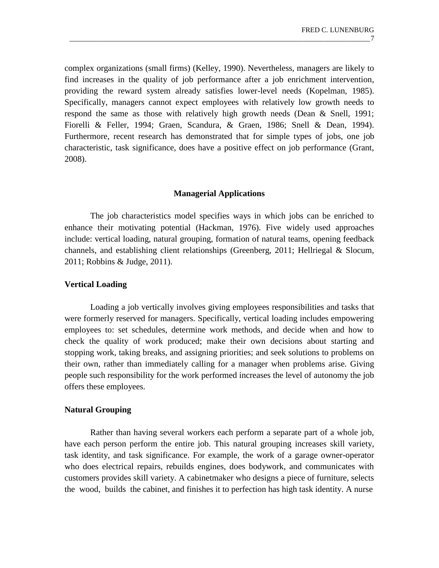complex organizations (small firms) (Kelley, 1990). Nevertheless, managers are likely to find increases in the quality of job performance after a job enrichment intervention, providing the reward system already satisfies lower-level needs (Kopelman, 1985). Specifically, managers cannot expect employees with relatively low growth needs to respond the same as those with relatively high growth needs (Dean & Snell, 1991; Fiorelli & Feller, 1994; Graen, Scandura, & Graen, 1986; Snell & Dean, 1994). Furthermore, recent research has demonstrated that for simple types of jobs, one job characteristic, task significance, does have a positive effect on job performance (Grant, 2008).

## **Managerial Applications**

The job characteristics model specifies ways in which jobs can be enriched to enhance their motivating potential (Hackman, 1976). Five widely used approaches include: vertical loading, natural grouping, formation of natural teams, opening feedback channels, and establishing client relationships (Greenberg, 2011; Hellriegal & Slocum, 2011; Robbins & Judge, 2011).

## **Vertical Loading**

Loading a job vertically involves giving employees responsibilities and tasks that were formerly reserved for managers. Specifically, vertical loading includes empowering employees to: set schedules, determine work methods, and decide when and how to check the quality of work produced; make their own decisions about starting and stopping work, taking breaks, and assigning priorities; and seek solutions to problems on their own, rather than immediately calling for a manager when problems arise. Giving people such responsibility for the work performed increases the level of autonomy the job offers these employees.

#### **Natural Grouping**

Rather than having several workers each perform a separate part of a whole job, have each person perform the entire job. This natural grouping increases skill variety, task identity, and task significance. For example, the work of a garage owner-operator who does electrical repairs, rebuilds engines, does bodywork, and communicates with customers provides skill variety. A cabinetmaker who designs a piece of furniture, selects the wood, builds the cabinet, and finishes it to perfection has high task identity. A nurse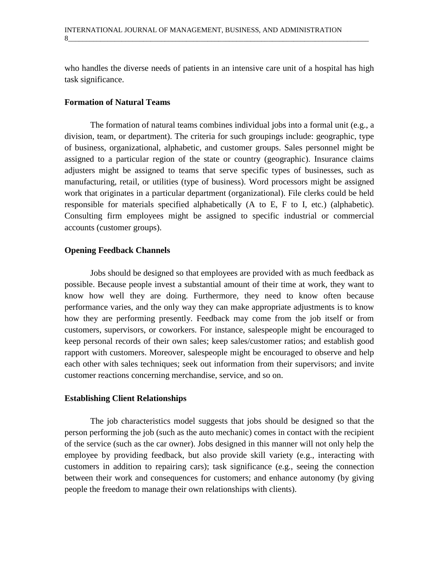who handles the diverse needs of patients in an intensive care unit of a hospital has high task significance.

# **Formation of Natural Teams**

The formation of natural teams combines individual jobs into a formal unit (e.g., a division, team, or department). The criteria for such groupings include: geographic, type of business, organizational, alphabetic, and customer groups. Sales personnel might be assigned to a particular region of the state or country (geographic). Insurance claims adjusters might be assigned to teams that serve specific types of businesses, such as manufacturing, retail, or utilities (type of business). Word processors might be assigned work that originates in a particular department (organizational). File clerks could be held responsible for materials specified alphabetically (A to E, F to I, etc.) (alphabetic). Consulting firm employees might be assigned to specific industrial or commercial accounts (customer groups).

#### **Opening Feedback Channels**

Jobs should be designed so that employees are provided with as much feedback as possible. Because people invest a substantial amount of their time at work, they want to know how well they are doing. Furthermore, they need to know often because performance varies, and the only way they can make appropriate adjustments is to know how they are performing presently. Feedback may come from the job itself or from customers, supervisors, or coworkers. For instance, salespeople might be encouraged to keep personal records of their own sales; keep sales/customer ratios; and establish good rapport with customers. Moreover, salespeople might be encouraged to observe and help each other with sales techniques; seek out information from their supervisors; and invite customer reactions concerning merchandise, service, and so on.

# **Establishing Client Relationships**

The job characteristics model suggests that jobs should be designed so that the person performing the job (such as the auto mechanic) comes in contact with the recipient of the service (such as the car owner). Jobs designed in this manner will not only help the employee by providing feedback, but also provide skill variety (e.g., interacting with customers in addition to repairing cars); task significance (e.g., seeing the connection between their work and consequences for customers; and enhance autonomy (by giving people the freedom to manage their own relationships with clients).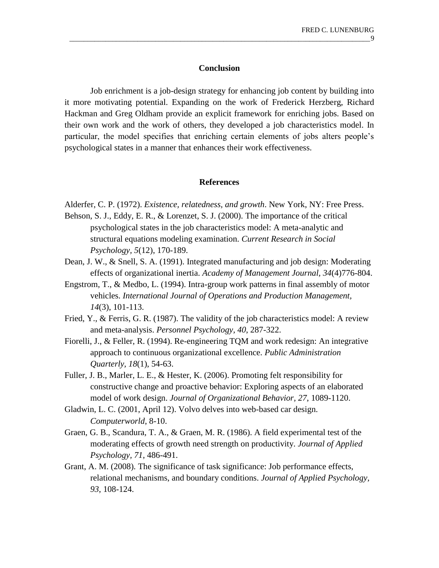#### **Conclusion**

Job enrichment is a job-design strategy for enhancing job content by building into it more motivating potential. Expanding on the work of Frederick Herzberg, Richard Hackman and Greg Oldham provide an explicit framework for enriching jobs. Based on their own work and the work of others, they developed a job characteristics model. In particular, the model specifies that enriching certain elements of jobs alters people's psychological states in a manner that enhances their work effectiveness.

#### **References**

Alderfer, C. P. (1972). *Existence, relatedness, and growth*. New York, NY: Free Press.

- Behson, S. J., Eddy, E. R., & Lorenzet, S. J. (2000). The importance of the critical psychological states in the job characteristics model: A meta-analytic and structural equations modeling examination. *Current Research in Social Psychology, 5*(12), 170-189.
- Dean, J. W., & Snell, S. A. (1991). Integrated manufacturing and job design: Moderating effects of organizational inertia. *Academy of Management Journal, 34*(4)776-804.
- Engstrom, T., & Medbo, L. (1994). Intra-group work patterns in final assembly of motor vehicles. *International Journal of Operations and Production Management, 14*(3), 101-113.
- Fried, Y., & Ferris, G. R. (1987). The validity of the job characteristics model: A review and meta-analysis. *Personnel Psychology, 40*, 287-322.
- Fiorelli, J., & Feller, R. (1994). Re-engineering TQM and work redesign: An integrative approach to continuous organizational excellence. *Public Administration Quarterly, 18*(1), 54-63.
- Fuller, J. B., Marler, L. E., & Hester, K. (2006). Promoting felt responsibility for constructive change and proactive behavior: Exploring aspects of an elaborated model of work design. *Journal of Organizational Behavior, 27*, 1089-1120.
- Gladwin, L. C. (2001, April 12). Volvo delves into web-based car design. *Computerworld*, 8-10.
- Graen, G. B., Scandura, T. A., & Graen, M. R. (1986). A field experimental test of the moderating effects of growth need strength on productivity. *Journal of Applied Psychology, 71*, 486-491.
- Grant, A. M. (2008). The significance of task significance: Job performance effects, relational mechanisms, and boundary conditions. *Journal of Applied Psychology, 93*, 108-124.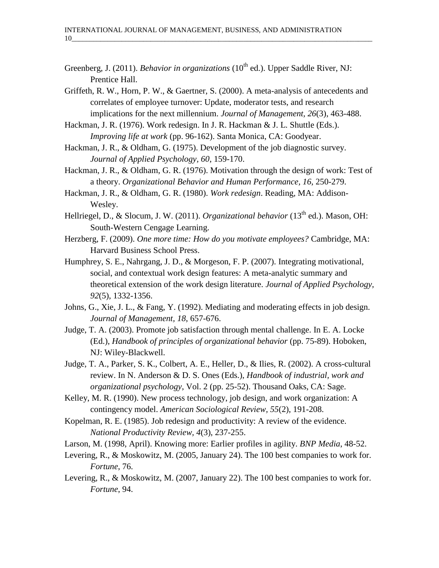- Greenberg, J. (2011). *Behavior in organizations* (10<sup>th</sup> ed.). Upper Saddle River, NJ: Prentice Hall.
- Griffeth, R. W., Horn, P. W., & Gaertner, S. (2000). A meta-analysis of antecedents and correlates of employee turnover: Update, moderator tests, and research implications for the next millennium. *Journal of Management, 26*(3), 463-488.

Hackman, J. R. (1976). Work redesign. In J. R. Hackman & J. L. Shuttle (Eds.). *Improving life at work* (pp. 96-162). Santa Monica, CA: Goodyear.

Hackman, J. R., & Oldham, G. (1975). Development of the job diagnostic survey. *Journal of Applied Psychology, 60*, 159-170.

- Hackman, J. R., & Oldham, G. R. (1976). Motivation through the design of work: Test of a theory. *Organizational Behavior and Human Performance, 16*, 250-279.
- Hackman, J. R., & Oldham, G. R. (1980). *Work redesign*. Reading, MA: Addison-Wesley.
- Hellriegel, D., & Slocum, J. W. (2011). *Organizational behavior* (13<sup>th</sup> ed.). Mason, OH: South-Western Cengage Learning.
- Herzberg, F. (2009). *One more time: How do you motivate employees?* Cambridge, MA: Harvard Business School Press.
- Humphrey, S. E., Nahrgang, J. D., & Morgeson, F. P. (2007). Integrating motivational, social, and contextual work design features: A meta-analytic summary and theoretical extension of the work design literature. *Journal of Applied Psychology, 92*(5), 1332-1356.
- Johns, G., Xie, J. L., & Fang, Y. (1992). Mediating and moderating effects in job design. *Journal of Management, 18*, 657-676.
- Judge, T. A. (2003). Promote job satisfaction through mental challenge. In E. A. Locke (Ed.), *Handbook of principles of organizational behavior* (pp. 75-89). Hoboken, NJ: Wiley-Blackwell.
- Judge, T. A., Parker, S. K., Colbert, A. E., Heller, D., & Ilies, R. (2002). A cross-cultural review. In N. Anderson & D. S. Ones (Eds.), *Handbook of industrial, work and organizational psychology*, Vol. 2 (pp. 25-52). Thousand Oaks, CA: Sage.
- Kelley, M. R. (1990). New process technology, job design, and work organization: A contingency model. *American Sociological Review, 55*(2), 191-208.
- Kopelman, R. E. (1985). Job redesign and productivity: A review of the evidence. *National Productivity Review, 4*(3), 237-255.
- Larson, M. (1998, April). Knowing more: Earlier profiles in agility. *BNP Media*, 48-52.
- Levering, R., & Moskowitz, M. (2005, January 24). The 100 best companies to work for. *Fortune*, 76.
- Levering, R., & Moskowitz, M. (2007, January 22). The 100 best companies to work for. *Fortune*, 94.